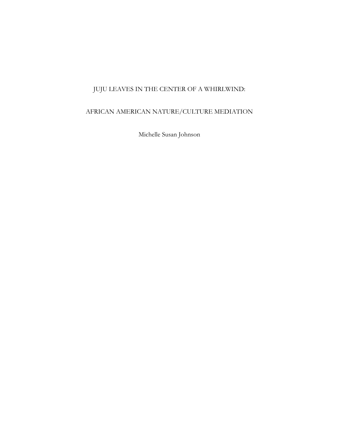# JUJU LEAVES IN THE CENTER OF A WHIRLWIND:

## AFRICAN AMERICAN NATURE/CULTURE MEDIATION

Michelle Susan Johnson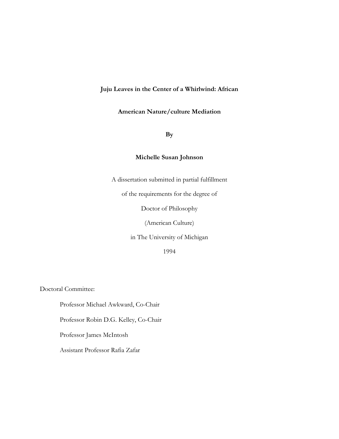### **Juju Leaves in the Center of a Whirlwind: African**

#### **American Nature/culture Mediation**

**By**

### **Michelle Susan Johnson**

A dissertation submitted in partial fulfillment

of the requirements for the degree of

Doctor of Philosophy

(American Culture)

in The University of Michigan

1994

Doctoral Committee:

Professor Michael Awkward, Co-Chair

Professor Robin D.G. Kelley, Co-Chair

Professor James McIntosh

Assistant Professor Rafia Zafar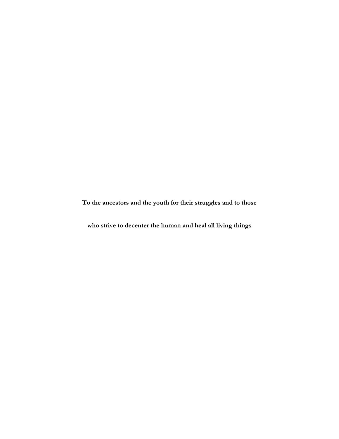**To the ancestors and the youth for their struggles and to those**

**who strive to decenter the human and heal all living things**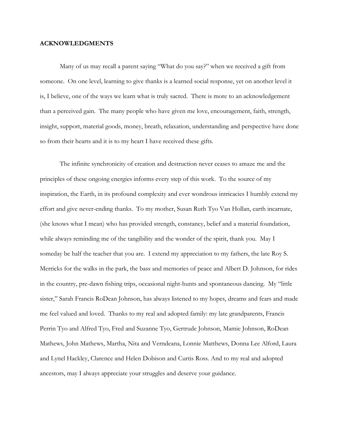#### **ACKNOWLEDGMENTS**

Many of us may recall a parent saying "What do you say?" when we received a gift from someone. On one level, learning to give thanks is a learned social response, yet on another level it is, I believe, one of the ways we learn what is truly sacred. There is more to an acknowledgement than a perceived gain. The many people who have given me love, encouragement, faith, strength, insight, support, material goods, money, breath, relaxation, understanding and perspective have done so from their hearts and it is to my heart I have received these gifts.

The infinite synchronicity of creation and destruction never ceases to amaze me and the principles of these ongoing energies informs every step of this work. To the source of my inspiration, the Earth, in its profound complexity and ever wondrous intricacies I humbly extend my effort and give never-ending thanks. To my mother, Susan Ruth Tyo Van Hollan, earth incarnate, (she knows what I mean) who has provided strength, constancy, belief and a material foundation, while always reminding me of the tangibility and the wonder of the spirit, thank you. May I someday be half the teacher that you are. I extend my appreciation to my fathers, the late Roy S. Merricks for the walks in the park, the bass and memories of peace and Albert D. Johnson, for rides in the country, pre-dawn fishing trips, occasional night-hunts and spontaneous dancing. My "little sister," Sarah Francis RoDean Johnson, has always listened to my hopes, dreams and fears and made me feel valued and loved. Thanks to my real and adopted family: my late grandparents, Francis Perrin Tyo and Alfred Tyo, Fred and Suzanne Tyo, Gertrude Johnson, Mamie Johnson, RoDean Mathews, John Mathews, Martha, Nita and Verndeana, Lonnie Matthews, Donna Lee Alford, Laura and Lynel Hackley, Clarence and Helen Dobison and Curtis Ross. And to my real and adopted ancestors, may I always appreciate your struggles and deserve your guidance.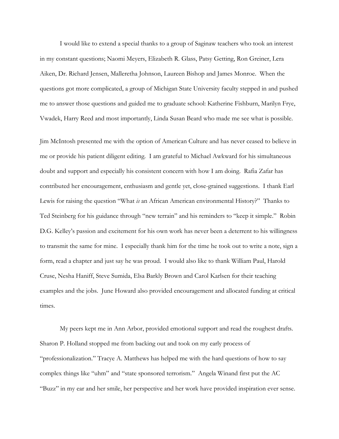I would like to extend a special thanks to a group of Saginaw teachers who took an interest in my constant questions; Naomi Meyers, Elizabeth R. Glass, Patsy Getting, Ron Greiner, Lera Aiken, Dr. Richard Jensen, Malleretha Johnson, Laureen Bishop and James Monroe. When the questions got more complicated, a group of Michigan State University faculty stepped in and pushed me to answer those questions and guided me to graduate school: Katherine Fishburn, Marilyn Frye, Vwadek, Harry Reed and most importantly, Linda Susan Beard who made me see what is possible.

Jim McIntosh presented me with the option of American Culture and has never ceased to believe in me or provide his patient diligent editing. I am grateful to Michael Awkward for his simultaneous doubt and support and especially his consistent concern with how I am doing. Rafia Zafar has contributed her encouragement, enthusiasm and gentle yet, close-grained suggestions. I thank Earl Lewis for raising the question "What *is* an African American environmental History?" Thanks to Ted Steinberg for his guidance through "new terrain" and his reminders to "keep it simple." Robin D.G. Kelley's passion and excitement for his own work has never been a deterrent to his willingness to transmit the same for mine. I especially thank him for the time he took out to write a note, sign a form, read a chapter and just say he was proud. I would also like to thank William Paul, Harold Cruse, Nesha Haniff, Steve Sumida, Elsa Barkly Brown and Carol Karlsen for their teaching examples and the jobs. June Howard also provided encouragement and allocated funding at critical times.

My peers kept me in Ann Arbor, provided emotional support and read the roughest drafts. Sharon P. Holland stopped me from backing out and took on my early process of "professionalization." Tracye A. Matthews has helped me with the hard questions of how to say complex things like "uhm" and "state sponsored terrorism." Angela Winand first put the AC "Buzz" in my ear and her smile, her perspective and her work have provided inspiration ever sense.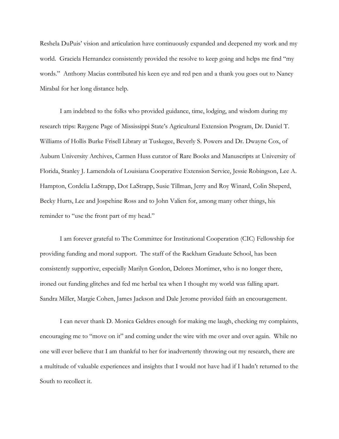Reshela DuPuis' vision and articulation have continuously expanded and deepened my work and my world. Graciela Hernandez consistently provided the resolve to keep going and helps me find "my words." Anthony Macias contributed his keen eye and red pen and a thank you goes out to Nancy Mirabal for her long distance help.

I am indebted to the folks who provided guidance, time, lodging, and wisdom during my research trips: Raygene Page of Mississippi State's Agricultural Extension Program, Dr. Daniel T. Williams of Hollis Burke Frisell Library at Tuskegee, Beverly S. Powers and Dr. Dwayne Cox, of Auburn University Archives, Carmen Huss curator of Rare Books and Manuscripts at University of Florida, Stanley J. Lamendola of Louisiana Cooperative Extension Service, Jessie Robingson, Lee A. Hampton, Cordelia LaStrapp, Dot LaStrapp, Susie Tillman, Jerry and Roy Winard, Colin Sheperd, Becky Hurts, Lee and Jospehine Ross and to John Valien for, among many other things, his reminder to "use the front part of my head."

I am forever grateful to The Committee for Institutional Cooperation (CIC) Fellowship for providing funding and moral support. The staff of the Rackham Graduate School, has been consistently supportive, especially Marilyn Gordon, Delores Mortimer, who is no longer there, ironed out funding glitches and fed me herbal tea when I thought my world was falling apart. Sandra Miller, Margie Cohen, James Jackson and Dale Jerome provided faith an encouragement.

I can never thank D. Monica Geldres enough for making me laugh, checking my complaints, encouraging me to "move on it" and coming under the wire with me over and over again. While no one will ever believe that I am thankful to her for inadvertently throwing out my research, there are a multitude of valuable experiences and insights that I would not have had if I hadn't returned to the South to recollect it.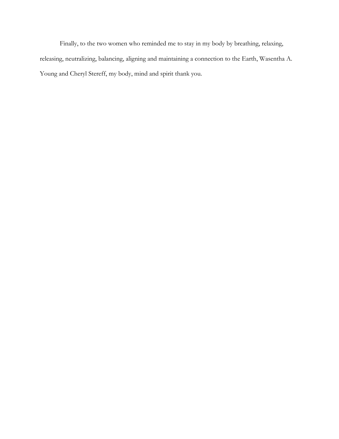Finally, to the two women who reminded me to stay in my body by breathing, relaxing, releasing, neutralizing, balancing, aligning and maintaining a connection to the Earth, Wasentha A. Young and Cheryl Stereff, my body, mind and spirit thank you.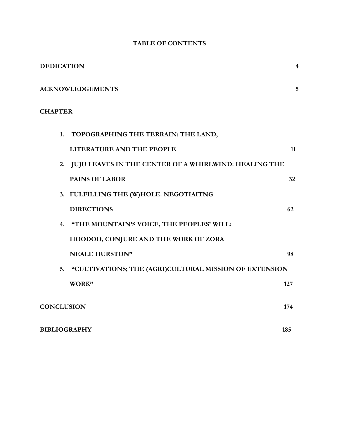| <b>DEDICATION</b>       |                                                        | 4   |
|-------------------------|--------------------------------------------------------|-----|
| <b>ACKNOWLEDGEMENTS</b> |                                                        | 5   |
| <b>CHAPTER</b>          |                                                        |     |
|                         | 1. TOPOGRAPHING THE TERRAIN: THE LAND,                 |     |
|                         | LITERATURE AND THE PEOPLE                              | 11  |
| 2.                      | JUJU LEAVES IN THE CENTER OF A WHIRLWIND: HEALING THE  |     |
|                         | <b>PAINS OF LABOR</b>                                  | 32  |
|                         | 3. FULFILLING THE (W)HOLE: NEGOTIAITNG                 |     |
|                         | <b>DIRECTIONS</b>                                      | 62  |
|                         | 4. "THE MOUNTAIN'S VOICE, THE PEOPLES' WILL:           |     |
|                         | HOODOO, CONJURE AND THE WORK OF ZORA                   |     |
|                         | <b>NEALE HURSTON"</b>                                  | 98  |
| 5.                      | "CULTIVATIONS; THE (AGRI)CULTURAL MISSION OF EXTENSION |     |
|                         | WORK"                                                  | 127 |
| <b>CONCLUSION</b>       |                                                        | 174 |
| <b>BIBLIOGRAPHY</b>     |                                                        | 185 |

# **TABLE OF CONTENTS**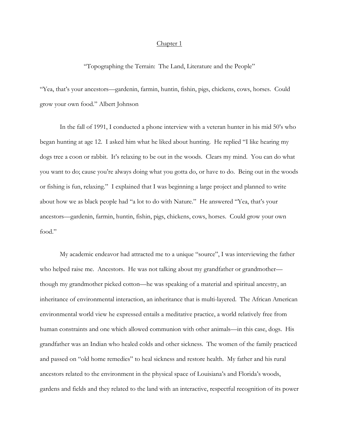#### Chapter 1

"Topographing the Terrain: The Land, Literature and the People"

"Yea, that's your ancestors—gardenin, farmin, huntin, fishin, pigs, chickens, cows, horses. Could grow your own food." Albert Johnson

In the fall of 1991, I conducted a phone interview with a veteran hunter in his mid 50's who began hunting at age 12. I asked him what he liked about hunting. He replied "I like hearing my dogs tree a coon or rabbit. It's relaxing to be out in the woods. Clears my mind. You can do what you want to do; cause you're always doing what you gotta do, or have to do. Being out in the woods or fishing is fun, relaxing." I explained that I was beginning a large project and planned to write about how we as black people had "a lot to do with Nature." He answered "Yea, that's your ancestors—gardenin, farmin, huntin, fishin, pigs, chickens, cows, horses. Could grow your own food."

My academic endeavor had attracted me to a unique "source", I was interviewing the father who helped raise me. Ancestors. He was not talking about my grandfather or grandmother though my grandmother picked cotton—he was speaking of a material and spiritual ancestry, an inheritance of environmental interaction, an inheritance that is multi-layered. The African American environmental world view he expressed entails a meditative practice, a world relatively free from human constraints and one which allowed communion with other animals—in this case, dogs. His grandfather was an Indian who healed colds and other sickness. The women of the family practiced and passed on "old home remedies" to heal sickness and restore health. My father and his rural ancestors related to the environment in the physical space of Louisiana's and Florida's woods, gardens and fields and they related to the land with an interactive, respectful recognition of its power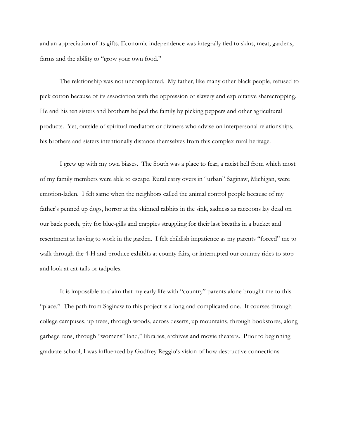and an appreciation of its gifts. Economic independence was integrally tied to skins, meat, gardens, farms and the ability to "grow your own food."

The relationship was not uncomplicated. My father, like many other black people, refused to pick cotton because of its association with the oppression of slavery and exploitative sharecropping. He and his ten sisters and brothers helped the family by picking peppers and other agricultural products. Yet, outside of spiritual mediators or diviners who advise on interpersonal relationships, his brothers and sisters intentionally distance themselves from this complex rural heritage.

I grew up with my own biases. The South was a place to fear, a racist hell from which most of my family members were able to escape. Rural carry overs in "urban" Saginaw, Michigan, were emotion-laden. I felt same when the neighbors called the animal control people because of my father's penned up dogs, horror at the skinned rabbits in the sink, sadness as raccoons lay dead on our back porch, pity for blue-gills and crappies struggling for their last breaths in a bucket and resentment at having to work in the garden. I felt childish impatience as my parents "forced" me to walk through the 4-H and produce exhibits at county fairs, or interrupted our country rides to stop and look at cat-tails or tadpoles.

It is impossible to claim that my early life with "country" parents alone brought me to this "place." The path from Saginaw to this project is a long and complicated one. It courses through college campuses, up trees, through woods, across deserts, up mountains, through bookstores, along garbage runs, through "womens" land," libraries, archives and movie theaters. Prior to beginning graduate school, I was influenced by Godfrey Reggio's vision of how destructive connections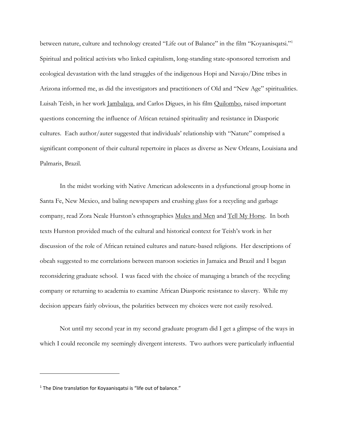between nature, culture and technology created "Life out of Balance" in the film "Koyaanisqatsi."<sup>1</sup> Spiritual and political activists who linked capitalism, long-standing state-sponsored terrorism and ecological devastation with the land struggles of the indigenous Hopi and Navajo/Dine tribes in Arizona informed me, as did the investigators and practitioners of Old and "New Age" spiritualities. Luisah Teish, in her work Jambalaya, and Carlos Digues, in his film Quilombo, raised important questions concerning the influence of African retained spirituality and resistance in Diasporic cultures. Each author/auter suggested that individuals' relationship with "Nature" comprised a significant component of their cultural repertoire in places as diverse as New Orleans, Louisiana and Palmaris, Brazil.

In the midst working with Native American adolescents in a dysfunctional group home in Santa Fe, New Mexico, and baling newspapers and crushing glass for a recycling and garbage company, read Zora Neale Hurston's ethnographies Mules and Men and Tell My Horse. In both texts Hurston provided much of the cultural and historical context for Teish's work in her discussion of the role of African retained cultures and nature-based religions. Her descriptions of obeah suggested to me correlations between maroon societies in Jamaica and Brazil and I began reconsidering graduate school. I was faced with the choice of managing a branch of the recycling company or returning to academia to examine African Diasporic resistance to slavery. While my decision appears fairly obvious, the polarities between my choices were not easily resolved.

Not until my second year in my second graduate program did I get a glimpse of the ways in which I could reconcile my seemingly divergent interests. Two authors were particularly influential

 $1$  The Dine translation for Koyaanisqatsi is "life out of balance."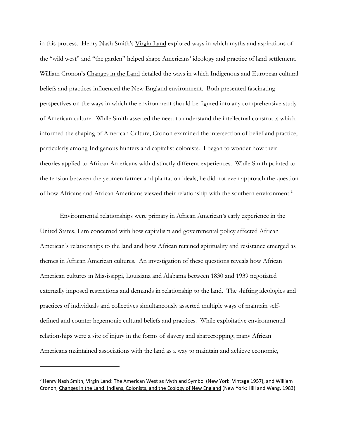in this process. Henry Nash Smith's Virgin Land explored ways in which myths and aspirations of the "wild west" and "the garden" helped shape Americans' ideology and practice of land settlement. William Cronon's Changes in the Land detailed the ways in which Indigenous and European cultural beliefs and practices influenced the New England environment. Both presented fascinating perspectives on the ways in which the environment should be figured into any comprehensive study of American culture. While Smith asserted the need to understand the intellectual constructs which informed the shaping of American Culture, Cronon examined the intersection of belief and practice, particularly among Indigenous hunters and capitalist colonists. I began to wonder how their theories applied to African Americans with distinctly different experiences. While Smith pointed to the tension between the yeomen farmer and plantation ideals, he did not even approach the question of how Africans and African Americans viewed their relationship with the southern environment.<sup>2</sup>

Environmental relationships were primary in African American's early experience in the United States, I am concerned with how capitalism and governmental policy affected African American's relationships to the land and how African retained spirituality and resistance emerged as themes in African American cultures. An investigation of these questions reveals how African American cultures in Mississippi, Louisiana and Alabama between 1830 and 1939 negotiated externally imposed restrictions and demands in relationship to the land. The shifting ideologies and practices of individuals and collectives simultaneously asserted multiple ways of maintain selfdefined and counter hegemonic cultural beliefs and practices. While exploitative environmental relationships were a site of injury in the forms of slavery and sharecropping, many African Americans maintained associations with the land as a way to maintain and achieve economic,

<sup>&</sup>lt;sup>2</sup> Henry Nash Smith, Virgin Land: The American West as Myth and Symbol (New York: Vintage 1957), and William Cronon, Changes in the Land: Indians, Colonists, and the Ecology of New England (New York: Hill and Wang, 1983).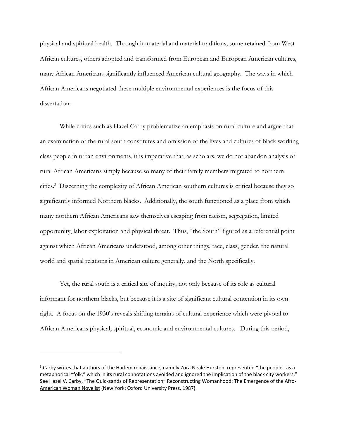physical and spiritual health. Through immaterial and material traditions, some retained from West African cultures, others adopted and transformed from European and European American cultures, many African Americans significantly influenced American cultural geography. The ways in which African Americans negotiated these multiple environmental experiences is the focus of this dissertation.

While critics such as Hazel Carby problematize an emphasis on rural culture and argue that an examination of the rural south constitutes and omission of the lives and cultures of black working class people in urban environments, it is imperative that, as scholars, we do not abandon analysis of rural African Americans simply because so many of their family members migrated to northern cities.<sup>3</sup> Discerning the complexity of African American southern cultures is critical because they so significantly informed Northern blacks. Additionally, the south functioned as a place from which many northern African Americans saw themselves escaping from racism, segregation, limited opportunity, labor exploitation and physical threat. Thus, "the South" figured as a referential point against which African Americans understood, among other things, race, class, gender, the natural world and spatial relations in American culture generally, and the North specifically.

Yet, the rural south is a critical site of inquiry, not only because of its role as cultural informant for northern blacks, but because it is a site of significant cultural contention in its own right. A focus on the 1930's reveals shifting terrains of cultural experience which were pivotal to African Americans physical, spiritual, economic and environmental cultures. During this period,

<sup>&</sup>lt;sup>3</sup> Carby writes that authors of the Harlem renaissance, namely Zora Neale Hurston, represented "the people...as a metaphorical "folk," which in its rural connotations avoided and ignored the implication of the black city workers." See Hazel V. Carby, "The Quicksands of Representation" Reconstructing Womanhood: The Emergence of the Afro-American Woman Novelist (New York: Oxford University Press, 1987).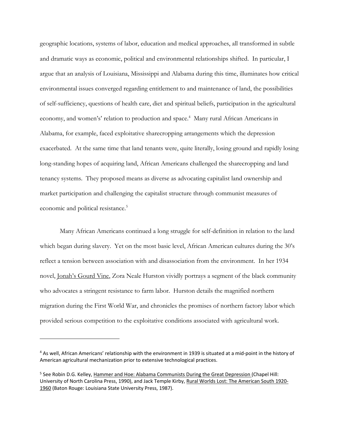geographic locations, systems of labor, education and medical approaches, all transformed in subtle and dramatic ways as economic, political and environmental relationships shifted. In particular, I argue that an analysis of Louisiana, Mississippi and Alabama during this time, illuminates how critical environmental issues converged regarding entitlement to and maintenance of land, the possibilities of self-sufficiency, questions of health care, diet and spiritual beliefs, participation in the agricultural economy, and women's' relation to production and space.<sup>4</sup> Many rural African Americans in Alabama, for example, faced exploitative sharecropping arrangements which the depression exacerbated. At the same time that land tenants were, quite literally, losing ground and rapidly losing long-standing hopes of acquiring land, African Americans challenged the sharecropping and land tenancy systems. They proposed means as diverse as advocating capitalist land ownership and market participation and challenging the capitalist structure through communist measures of economic and political resistance.<sup>5</sup>

Many African Americans continued a long struggle for self-definition in relation to the land which began during slavery. Yet on the most basic level, African American cultures during the 30's reflect a tension between association with and disassociation from the environment. In her 1934 novel, Jonah's Gourd Vine, Zora Neale Hurston vividly portrays a segment of the black community who advocates a stringent resistance to farm labor. Hurston details the magnified northern migration during the First World War, and chronicles the promises of northern factory labor which provided serious competition to the exploitative conditions associated with agricultural work.

<sup>4</sup> As well, African Americans' relationship with the environment in 1939 is situated at a mid-point in the history of American agricultural mechanization prior to extensive technological practices.

<sup>&</sup>lt;sup>5</sup> See Robin D.G. Kelley, Hammer and Hoe: Alabama Communists During the Great Depression (Chapel Hill: University of North Carolina Press, 1990), and Jack Temple Kirby, Rural Worlds Lost: The American South 1920- 1960 (Baton Rouge: Louisiana State University Press, 1987).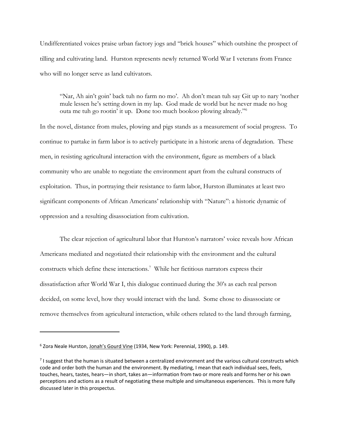Undifferentiated voices praise urban factory jogs and "brick houses" which outshine the prospect of tilling and cultivating land. Hurston represents newly returned World War I veterans from France who will no longer serve as land cultivators.

"Nar, Ah ain't goin' back tuh no farm no mo'. Ah don't mean tuh say Git up to nary 'nother mule lessen he's setting down in my lap. God made de world but he never made no hog outa me tuh go rootin' it up. Done too much bookoo plowing already."<sup>6</sup>

In the novel, distance from mules, plowing and pigs stands as a measurement of social progress. To continue to partake in farm labor is to actively participate in a historic arena of degradation. These men, in resisting agricultural interaction with the environment, figure as members of a black community who are unable to negotiate the environment apart from the cultural constructs of exploitation. Thus, in portraying their resistance to farm labor, Hurston illuminates at least two significant components of African Americans' relationship with "Nature": a historic dynamic of oppression and a resulting disassociation from cultivation.

The clear rejection of agricultural labor that Hurston's narrators' voice reveals how African Americans mediated and negotiated their relationship with the environment and the cultural constructs which define these interactions.<sup>7</sup> While her fictitious narrators express their dissatisfaction after World War I, this dialogue continued during the 30's as each real person decided, on some level, how they would interact with the land. Some chose to disassociate or remove themselves from agricultural interaction, while others related to the land through farming,

<sup>&</sup>lt;sup>6</sup> Zora Neale Hurston, Jonah's Gourd Vine (1934, New York: Perennial, 1990), p. 149.

 $<sup>7</sup>$  I suggest that the human is situated between a centralized environment and the various cultural constructs which</sup> code and order both the human and the environment. By mediating, I mean that each individual sees, feels, touches, hears, tastes, hears—in short, takes an—information from two or more reals and forms her or his own perceptions and actions as a result of negotiating these multiple and simultaneous experiences. This is more fully discussed later in this prospectus.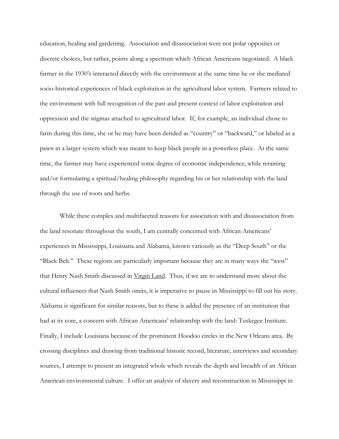education, healing and gardening. Association and disassociation were not polar opposites or discrete choices, but rather, points along a spectrum which African Americans negotiated. A black farmer in the 1930's interacted directly with the environment at the same time he or she mediated socio-historical experiences of black exploitation in the agricultural labor system. Farmers related to the environment with full recognition of the past and present context of labor exploitation and oppression and the stigmas attached to agricultural labor. If, for example, an individual chose to farm during this time, she or he may have been derided as "country" or "backward," or labeled as a pawn in a larger system which was meant to keep black people in a powerless place. At the same time, the farmer may have experienced some degree of economic independence, while retaining and/or formulating a spiritual/healing philosophy regarding his or her relationship with the land through the use of roots and herbs.

While these complex and multifaceted reasons for association with and disassociation from the land resonate throughout the south, I am centrally concerned with African Americans' experiences in Mississippi, Louisiana and Alabama, known variously as the "Deep South" or the "Black Belt." These regions are particularly important because they are in many ways the "west" that Henry Nash Smith discussed in Virgin Land. Thus, if we are to understand more about the cultural influences that Nash Smith omits, it is imperative to pause in Mississippi to fill out his story. Alabama is significant for similar reasons, but to these is added the presence of an institution that had at its core, a concern with African Americans' relationship with the land: Tuskegee Institute. Finally, I include Louisiana because of the prominent Hoodoo circles in the New Orleans area. By crossing disciplines and drawing from traditional historic record, literature, interviews and secondary sources, I attempt to present an integrated whole which reveals the depth and breadth of an African American environmental culture. I offer an analysis of slavery and reconstruction in Mississippi in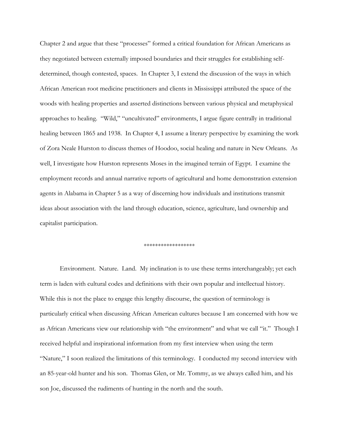Chapter 2 and argue that these "processes" formed a critical foundation for African Americans as they negotiated between externally imposed boundaries and their struggles for establishing selfdetermined, though contested, spaces. In Chapter 3, I extend the discussion of the ways in which African American root medicine practitioners and clients in Mississippi attributed the space of the woods with healing properties and asserted distinctions between various physical and metaphysical approaches to healing. "Wild," "uncultivated" environments, I argue figure centrally in traditional healing between 1865 and 1938. In Chapter 4, I assume a literary perspective by examining the work of Zora Neale Hurston to discuss themes of Hoodoo, social healing and nature in New Orleans. As well, I investigate how Hurston represents Moses in the imagined terrain of Egypt. I examine the employment records and annual narrative reports of agricultural and home demonstration extension agents in Alabama in Chapter 5 as a way of discerning how individuals and institutions transmit ideas about association with the land through education, science, agriculture, land ownership and capitalist participation.

#### \*\*\*\*\*\*\*\*\*\*\*\*\*\*\*\*\*\*

Environment. Nature. Land. My inclination is to use these terms interchangeably; yet each term is laden with cultural codes and definitions with their own popular and intellectual history. While this is not the place to engage this lengthy discourse, the question of terminology is particularly critical when discussing African American cultures because I am concerned with how we as African Americans view our relationship with "the environment" and what we call "it." Though I received helpful and inspirational information from my first interview when using the term "Nature," I soon realized the limitations of this terminology. I conducted my second interview with an 85-year-old hunter and his son. Thomas Glen, or Mr. Tommy, as we always called him, and his son Joe, discussed the rudiments of hunting in the north and the south.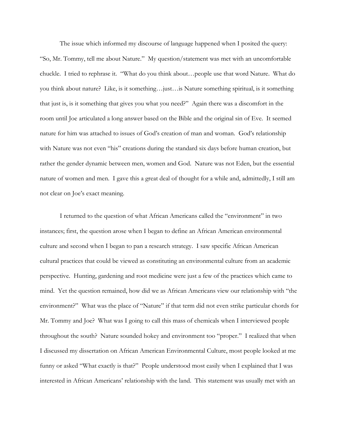The issue which informed my discourse of language happened when I posited the query: "So, Mr. Tommy, tell me about Nature." My question/statement was met with an uncomfortable chuckle. I tried to rephrase it. "What do you think about…people use that word Nature. What do you think about nature? Like, is it something…just…is Nature something spiritual, is it something that just is, is it something that gives you what you need?" Again there was a discomfort in the room until Joe articulated a long answer based on the Bible and the original sin of Eve. It seemed nature for him was attached to issues of God's creation of man and woman. God's relationship with Nature was not even "his" creations during the standard six days before human creation, but rather the gender dynamic between men, women and God. Nature was not Eden, but the essential nature of women and men. I gave this a great deal of thought for a while and, admittedly, I still am not clear on Joe's exact meaning.

I returned to the question of what African Americans called the "environment" in two instances; first, the question arose when I began to define an African American environmental culture and second when I began to pan a research strategy. I saw specific African American cultural practices that could be viewed as constituting an environmental culture from an academic perspective. Hunting, gardening and root medicine were just a few of the practices which came to mind. Yet the question remained, how did we as African Americans view our relationship with "the environment?" What was the place of "Nature" if that term did not even strike particular chords for Mr. Tommy and Joe? What was I going to call this mass of chemicals when I interviewed people throughout the south? Nature sounded hokey and environment too "proper." I realized that when I discussed my dissertation on African American Environmental Culture, most people looked at me funny or asked "What exactly is that?" People understood most easily when I explained that I was interested in African Americans' relationship with the land. This statement was usually met with an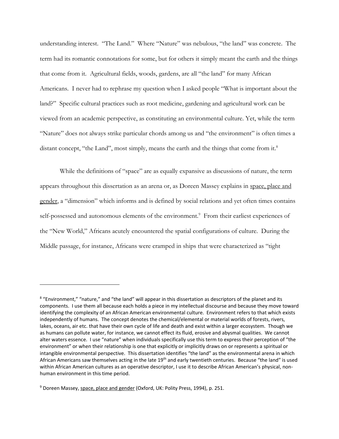understanding interest. "The Land." Where "Nature" was nebulous, "the land" was concrete. The term had its romantic connotations for some, but for others it simply meant the earth and the things that come from it. Agricultural fields, woods, gardens, are all "the land" for many African Americans. I never had to rephrase my question when I asked people "What is important about the land?" Specific cultural practices such as root medicine, gardening and agricultural work can be viewed from an academic perspective, as constituting an environmental culture. Yet, while the term "Nature" does not always strike particular chords among us and "the environment" is often times a distant concept, "the Land", most simply, means the earth and the things that come from it.<sup>8</sup>

While the definitions of "space" are as equally expansive as discussions of nature, the term appears throughout this dissertation as an arena or, as Doreen Massey explains in space, place and gender, a "dimension" which informs and is defined by social relations and yet often times contains self-possessed and autonomous elements of the environment.<sup>9</sup> From their earliest experiences of the "New World," Africans acutely encountered the spatial configurations of culture. During the Middle passage, for instance, Africans were cramped in ships that were characterized as "tight

<sup>&</sup>lt;sup>8</sup> "Environment," "nature," and "the land" will appear in this dissertation as descriptors of the planet and its components. I use them all because each holds a piece in my intellectual discourse and because they move toward identifying the complexity of an African American environmental culture. Environment refers to that which exists independently of humans. The concept denotes the chemical/elemental or material worlds of forests, rivers, lakes, oceans, air etc. that have their own cycle of life and death and exist within a larger ecosystem. Though we as humans can pollute water, for instance, we cannot effect its fluid, erosive and abysmal qualities. We cannot alter waters essence. I use "nature" when individuals specifically use this term to express their perception of "the environment" or when their relationship is one that explicitly or implicitly draws on or represents a spiritual or intangible environmental perspective. This dissertation identifies "the land" as the environmental arena in which African Americans saw themselves acting in the late 19<sup>th</sup> and early twentieth centuries. Because "the land" is used within African American cultures as an operative descriptor, I use it to describe African American's physical, nonhuman environment in this time period.

<sup>9</sup> Doreen Massey, space, place and gender (Oxford, UK: Polity Press, 1994), p. 251.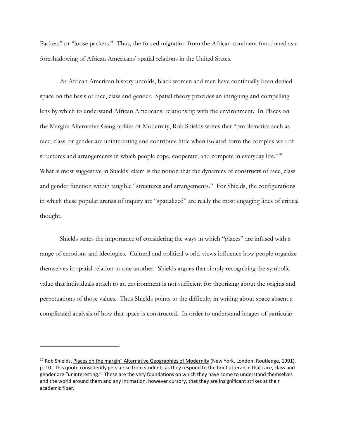Packers" or "loose packers." Thus, the forced migration from the African continent functioned as a foreshadowing of African Americans' spatial relations in the United States.

As African American history unfolds, black women and men have continually been denied space on the basis of race, class and gender. Spatial theory provides an intriguing and compelling lens by which to understand African Americans; relationship with the environment. In Places on the Margin: Alternative Geographies of Modernity, Rob Shields writes that "problematics such as race, class, or gender are uninteresting and contribute little when isolated form the complex web of structures and arrangements in which people cope, cooperate, and compete in everyday life."<sup>10</sup> What is most suggestive in Shields' claim is the notion that the dynamics of constructs of race, class and gender function within tangible "structures and arrangements." For Shields, the configurations in which these popular arenas of inquiry are "spatialized" are really the most engaging lines of critical thought.

Shields states the importance of considering the ways in which "places" are infused with a range of emotions and ideologies. Cultural and political world-views influence how people organize themselves in spatial relation to one another. Shields argues that simply recognizing the symbolic value that individuals attach to an environment is not sufficient for theorizing about the origins and perpetuations of those values. Thus Shields points to the difficulty in writing about space absent a complicated analysis of how that space is constructed. In order to understand images of particular

<sup>&</sup>lt;sup>10</sup> Rob Shields, Places on the margin" Alternative Geographies of Modernity (New York, London: Routledge, 1991), p. 10. This quote consistently gets a rise from students as they respond to the brief utterance that race, class and gender are "uninteresting." These are the very foundations on which they have come to understand themselves and the world around them and any intimation, however cursory, that they are insignificant strikes at their academic fiber.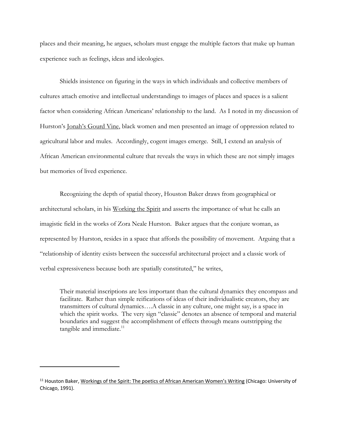places and their meaning, he argues, scholars must engage the multiple factors that make up human experience such as feelings, ideas and ideologies.

Shields insistence on figuring in the ways in which individuals and collective members of cultures attach emotive and intellectual understandings to images of places and spaces is a salient factor when considering African Americans' relationship to the land. As I noted in my discussion of Hurston's Jonah's Gourd Vine, black women and men presented an image of oppression related to agricultural labor and mules. Accordingly, cogent images emerge. Still, I extend an analysis of African American environmental culture that reveals the ways in which these are not simply images but memories of lived experience.

Recognizing the depth of spatial theory, Houston Baker draws from geographical or architectural scholars, in his Working the Spirit and asserts the importance of what he calls an imagistic field in the works of Zora Neale Hurston. Baker argues that the conjure woman, as represented by Hurston, resides in a space that affords the possibility of movement. Arguing that a "relationship of identity exists between the successful architectural project and a classic work of verbal expressiveness because both are spatially constituted," he writes,

Their material inscriptions are less important than the cultural dynamics they encompass and facilitate. Rather than simple reifications of ideas of their individualistic creators, they are transmitters of cultural dynamics….A classic in any culture, one might say, is a space in which the spirit works. The very sign "classic" denotes an absence of temporal and material boundaries and suggest the accomplishment of effects through means outstripping the tangible and immediate. $11$ 

<sup>&</sup>lt;sup>11</sup> Houston Baker, Workings of the Spirit: The poetics of African American Women's Writing (Chicago: University of Chicago, 1991).